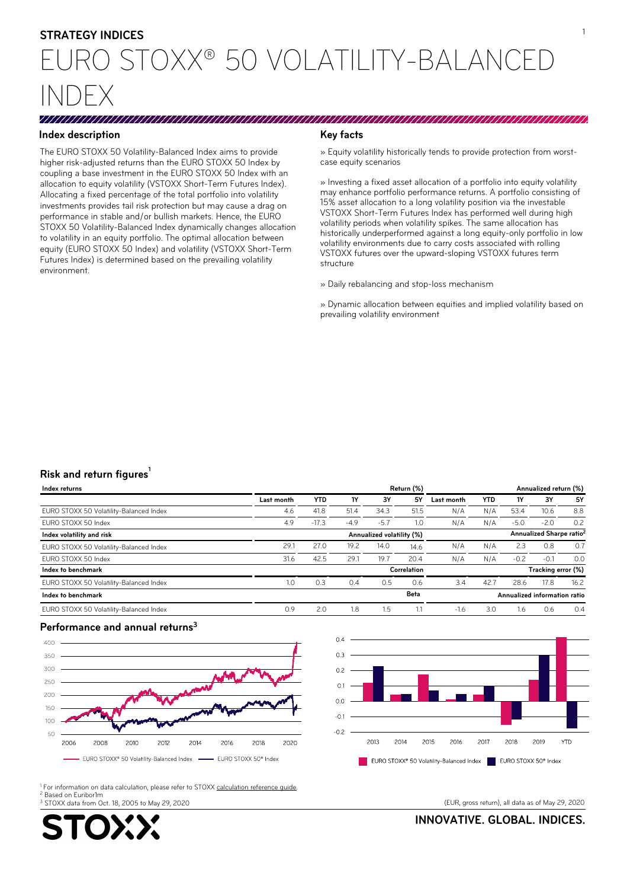# <sup>1</sup> **STRATEGY INDICES**

# EURO STOXX® 50 VOLATILITY-BALANCED INDEX

### **Index description Key facts**

The EURO STOXX 50 Volatility-Balanced Index aims to provide higher risk-adjusted returns than the EURO STOXX 50 Index by coupling a base investment in the EURO STOXX 50 Index with an allocation to equity volatility (VSTOXX Short-Term Futures Index). Allocating a fixed percentage of the total portfolio into volatility investments provides tail risk protection but may cause a drag on performance in stable and/or bullish markets. Hence, the EURO STOXX 50 Volatility-Balanced Index dynamically changes allocation to volatility in an equity portfolio. The optimal allocation between equity (EURO STOXX 50 Index) and volatility (VSTOXX Short-Term Futures Index) is determined based on the prevailing volatility environment.

» Equity volatility historically tends to provide protection from worstcase equity scenarios

» Investing a fixed asset allocation of a portfolio into equity volatility may enhance portfolio performance returns. A portfolio consisting of 15% asset allocation to a long volatility position via the investable VSTOXX Short-Term Futures Index has performed well during high volatility periods when volatility spikes. The same allocation has historically underperformed against a long equity-only portfolio in low volatility environments due to carry costs associated with rolling VSTOXX futures over the upward-sloping VSTOXX futures term structure

» Daily rebalancing and stop-loss mechanism

» Dynamic allocation between equities and implied volatility based on prevailing volatility environment

## **1 Risk and return figures**

| Index returns                           | Return (%)<br>Annualized return (%)                               |            |        |         |           |            |                    |        |        |      |
|-----------------------------------------|-------------------------------------------------------------------|------------|--------|---------|-----------|------------|--------------------|--------|--------|------|
|                                         | Last month                                                        | <b>YTD</b> | 1Y     | 3Υ      | <b>5Y</b> | Last month | YTD                | 1Y     | 3Υ     | 5Υ   |
| EURO STOXX 50 Volatility-Balanced Index | 4.6                                                               | 41.8       | 51.4   | 34.3    | 51.5      | N/A        | N/A                | 53.4   | 10.6   | 8.8  |
| EURO STOXX 50 Index                     | 4.9                                                               | $-17.3$    | $-4.9$ | $-5.7$  | 1.0       | N/A        | N/A                | $-5.0$ | $-2.0$ | 0.2  |
| Index volatility and risk               | Annualized Sharpe ratio <sup>2</sup><br>Annualized volatility (%) |            |        |         |           |            |                    |        |        |      |
| EURO STOXX 50 Volatility-Balanced Index | 29.1                                                              | 27.0       | 19.2   | 14.0    | 14.6      | N/A        | N/A                | 2.3    | 0.8    | 0.7  |
| EURO STOXX 50 Index                     | 31.6                                                              | 42.5       | 29.1   | 19.7    | 20.4      | N/A        | N/A                | $-0.2$ | $-0.1$ | 0.0  |
| Index to benchmark                      | Correlation                                                       |            |        |         |           |            | Tracking error (%) |        |        |      |
| EURO STOXX 50 Volatility-Balanced Index | 1.0                                                               | 0.3        | 0.4    | 0.5     | 0.6       | 3.4        | 42.7               | 28.6   | 17.8   | 16.2 |
| Index to benchmark                      | Beta<br>Annualized information ratio                              |            |        |         |           |            |                    |        |        |      |
| EURO STOXX 50 Volatility-Balanced Index | 0.9                                                               | 2.0        | 1.8    | $1.5\,$ |           | $-1.6$     | 3.0                | ı.6    | 0.6    | 0.4  |

#### **Performance and annual returns<sup>3</sup>**





2 Based on Euribor1m <sup>1</sup> For information on data calculation, please refer to STOXX <u>[calculation reference guide](http://www.stoxx.com/download/indices/rulebooks/stoxx_statistical_calculations_guide.pdf)</u>.

3 STOXX data from Oct. 18, 2005 to May 29, 2020 (EUR, gross return), all data as of May 29, 2020



**INNOVATIVE. GLOBAL. INDICES.**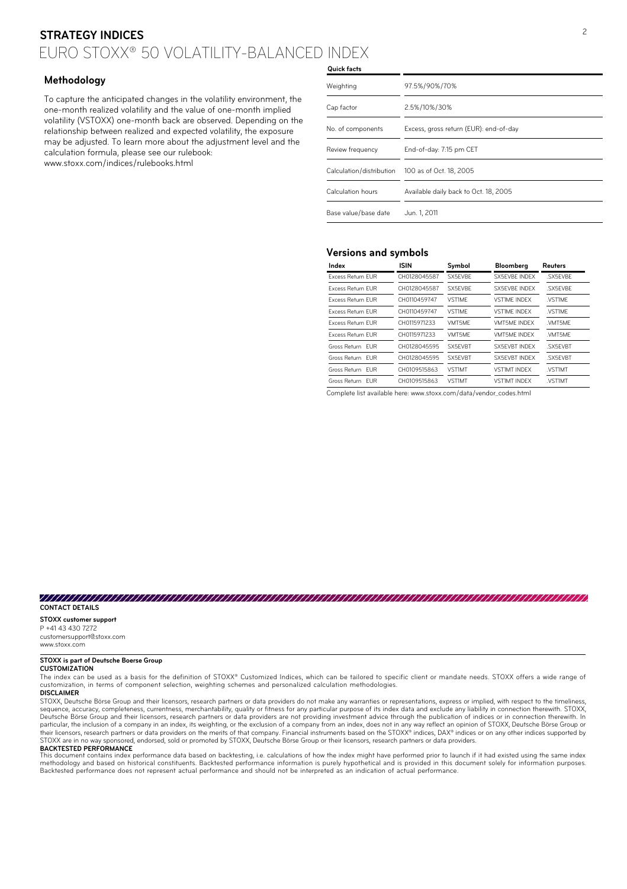# <sup>2</sup> **STRATEGY INDICES** EURO STOXX® 50 VOLATILITY-BALANCED INDEX

#### **Methodology**

To capture the anticipated changes in the volatility environment, the one-month realized volatility and the value of one-month implied volatility (VSTOXX) one-month back are observed. Depending on the relationship between realized and expected volatility, the exposure may be adjusted. To learn more about the adjustment level and the calculation formula, please see our rulebook: www.stoxx.com/indices/rulebooks.html

# **Quick facts**

| Weighting                | 97.5%/90%/70%                          |  |  |  |
|--------------------------|----------------------------------------|--|--|--|
| Cap factor               | 2.5%/10%/30%                           |  |  |  |
| No. of components        | Excess, gross return (EUR): end-of-day |  |  |  |
| Review frequency         | End-of-day: 7:15 pm CET                |  |  |  |
| Calculation/distribution | 100 as of Oct. 18, 2005                |  |  |  |
| Calculation hours        | Available daily back to Oct. 18, 2005  |  |  |  |
| Base value/base date     | Jun. 1, 2011                           |  |  |  |

#### **Versions and symbols**

| Index                      | ISIN         | Symbol        | Bloomberg            | Reuters  |
|----------------------------|--------------|---------------|----------------------|----------|
| <b>Excess Return FUR</b>   | CH0128045587 | SX5FVBF       | SX5FVBF INDFX        | SX5FVBF  |
| <b>Excess Return FUR</b>   | CH0128045587 | SX5FVBF       | <b>SX5FVBF INDFX</b> | SX5FVBF  |
| <b>Excess Return FUR</b>   | CH0110459747 | <b>VST1MF</b> | <b>VST1MF INDFX</b>  | VSTIME   |
| <b>Excess Return FUR</b>   | CH0110459747 | <b>VST1MF</b> | <b>VST1MF INDFX</b>  | VSTIME   |
| <b>Excess Return FUR</b>   | CH0115971233 | VMT5MF        | <b>VMT5MF INDFX</b>  | VMT5MF   |
| <b>Excess Return FUR</b>   | CH0115971233 | VMT5MF        | <b>VMT5MF INDFX</b>  | VMT5MF   |
| Gross Return EUR           | CH0128045595 | SX5FVBT       | <b>SX5FVBT INDFX</b> | .SX5EVBT |
| Gross Return FUR           | CH0128045595 | SX5FVBT       | SX5FVBT INDEX        | SX5FVBT  |
| Gross Return<br><b>EUR</b> | CH0109515863 | <b>VST1MT</b> | <b>VST1MT INDFX</b>  | VSTIMT   |
| Gross Return<br><b>FUR</b> | CH0109515863 | <b>VST1MT</b> | <b>VST1MT INDEX</b>  | VSTIMT   |

Complete list available here: www.stoxx.com/data/vendor\_codes.html

#### **CONTACT DETAILS**

#### **STOXX customer support**

P +41 43 430 7272 customersupport@stoxx.com www.stoxx.com

#### **STOXX is part of Deutsche Boerse Group**

#### **CUSTOMIZATION**

The index can be used as a basis for the definition of STOXX® Customized Indices, which can be tailored to specific client or mandate needs. STOXX offers a wide range of<br>customization, in terms of component selection, weig

**DISCLAIMER**

STOXX, Deutsche Börse Group and their licensors, research partners or data providers do not make any warranties or representations, express or implied, with respect to the timeliness, sequence, accuracy, completeness, currentness, merchantability, quality or fitness for any particular purpose of its index data and exclude any liability in connection therewith. STOXX,<br>Deutsche Börse Group and their licen particular, the inclusion of a company in an index, its weighting, or the exclusion of a company from an index, does not in any way reflect an opinion of STOXX, Deutsche Börse Group or<br>their licensors, research partners or STOXX are in no way sponsored, endorsed, sold or promoted by STOXX, Deutsche Börse Group or their licensors, research partners or data providers

**BACKTESTED PERFORMANCE**<br>This document contains index performance data based on backtesting, i.e. calculations of how the index might have performed prior to launch if it had existed using the same index<br>methodology and ba Backtested performance does not represent actual performance and should not be interpreted as an indication of actual performance.